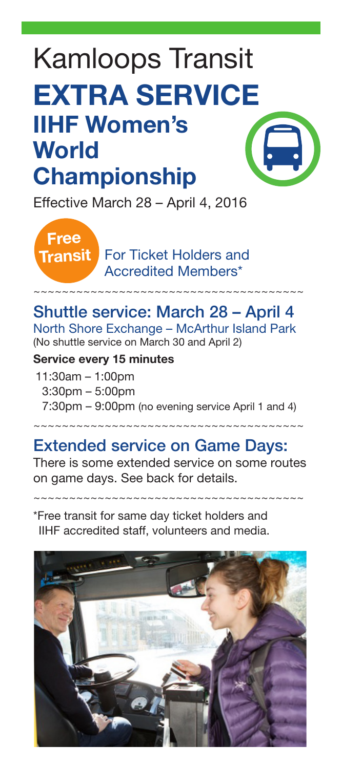# Kamloops Transit EXTRA SERVICE IIHF Women's World Championship

Effective March 28 – April 4, 2016

For Ticket Holders and Accredited Members\*

# Shuttle service: March 28 – April 4

~~~~~~~~~~~~~~~~~~~~~~~~~~~~~~~~~~~~~~

North Shore Exchange – McArthur Island Park (No shuttle service on March 30 and April 2)

#### Service every 15 minutes

Free Transit

11:30am – 1:00pm 3:30pm – 5:00pm 7:30pm – 9:00pm (no evening service April 1 and 4)

~~~~~~~~~~~~~~~~~~~~~~~~~~~~~~~~~~~~~

# Extended service on Game Days:

There is some extended service on some routes on game days. See back for details.

~~~~~~~~~~~~~~~~~~~~~~~~~~~~~~~~~~~~~~

\*Free transit for same day ticket holders and IIHF accredited staff, volunteers and media.